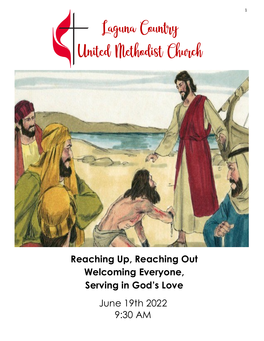



**Reaching Up, Reaching Out Welcoming Everyone, Serving in God's Love**

> June 19th 2022 9:30 AM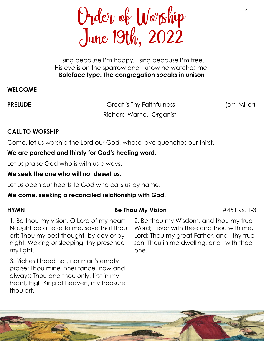Order of Worship June 19th, 2022

I sing because I'm happy, I sing because I'm free. His eye is on the sparrow and I know he watches me. **Boldface type: The congregation speaks in unison**

# **WELCOME**

**PRELUDE Great is Thy Faithfulness** (arr. Miller) Richard Warne, Organist

# **CALL TO WORSHIP**

Come, let us worship the Lord our God, whose love quenches our thirst.

### **We are parched and thirsty for God's healing word.**

Let us praise God who is with us always.

### **We seek the one who will not desert us.**

Let us open our hearts to God who calls us by name.

# **We come, seeking a reconciled relationship with God.**

### **HYMN** Be Thou My Vision **#451 vs. 1-3**

1. Be thou my vision, O Lord of my heart; Naught be all else to me, save that thou art; Thou my best thought, by day or by night, Waking or sleeping, thy presence my light.

3. Riches I heed not, nor man's empty praise; Thou mine inheritance, now and always; Thou and thou only, first in my heart, High King of heaven, my treasure thou art.

2. Be thou my Wisdom, and thou my true Word; I ever with thee and thou with me, Lord; Thou my great Father, and I thy true son, Thou in me dwelling, and I with thee one.

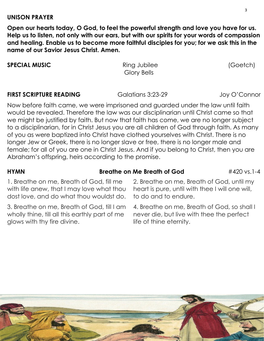### **UNISON PRAYER**

**Open our hearts today, O God, to feel the powerful strength and love you have for us. Help us to listen, not only with our ears, but with our spirits for your words of compassion and healing. Enable us to become more faithful disciples for you; for we ask this in the name of our Savior Jesus Christ. Amen.**

Glory Bells

### **FIRST SCRIPTURE READING Galatians 3:23-29** Joy O'Connor

Now before faith came, we were imprisoned and guarded under the law until faith would be revealed. Therefore the law was our disciplinarian until Christ came so that we might be justified by faith. But now that faith has come, we are no longer subject to a disciplinarian, for in Christ Jesus you are all children of God through faith. As many

of you as were baptized into Christ have clothed yourselves with Christ. There is no longer Jew or Greek, there is no longer slave or free, there is no longer male and female; for all of you are one in Christ Jesus. And if you belong to Christ, then you are Abraham's offspring, heirs according to the promise.

### **HYMN** Breathe on Me Breath of God  $\#420 \text{ vs. } 1-4$

1. Breathe on me, Breath of God, fill me with life anew, that I may love what thou dost love, and do what thou wouldst do.

3. Breathe on me, Breath of God, till I am wholly thine, till all this earthly part of me glows with thy fire divine.

2. Breathe on me, Breath of God, until my heart is pure, until with thee I will one will, to do and to endure.

4. Breathe on me, Breath of God, so shall I never die, but live with thee the perfect life of thine eternity.

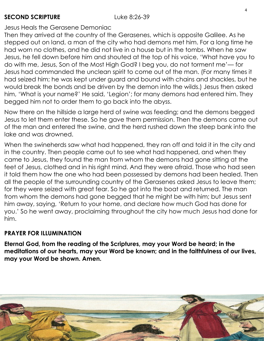# **SECOND SCRIPTURE** Luke 8:26-39

Jesus Heals the Gerasene Demoniac

Then they arrived at the country of the Gerasenes, which is opposite Galilee. As he stepped out on land, a man of the city who had demons met him. For a long time he had worn no clothes, and he did not live in a house but in the tombs. When he saw Jesus, he fell down before him and shouted at the top of his voice, 'What have you to do with me, Jesus, Son of the Most High God? I beg you, do not torment me'— for Jesus had commanded the unclean spirit to come out of the man. (For many times it had seized him; he was kept under guard and bound with chains and shackles, but he would break the bonds and be driven by the demon into the wilds.) Jesus then asked him, 'What is your name?' He said, 'Legion'; for many demons had entered him. They begged him not to order them to go back into the abyss.

Now there on the hillside a large herd of swine was feeding; and the demons begged Jesus to let them enter these. So he gave them permission. Then the demons came out of the man and entered the swine, and the herd rushed down the steep bank into the lake and was drowned.

When the swineherds saw what had happened, they ran off and told it in the city and in the country. Then people came out to see what had happened, and when they came to Jesus, they found the man from whom the demons had gone sitting at the feet of Jesus, clothed and in his right mind. And they were afraid. Those who had seen it told them how the one who had been possessed by demons had been healed. Then all the people of the surrounding country of the Gerasenes asked Jesus to leave them; for they were seized with great fear. So he got into the boat and returned. The man from whom the demons had gone begged that he might be with him; but Jesus sent him away, saying, 'Return to your home, and declare how much God has done for you.' So he went away, proclaiming throughout the city how much Jesus had done for him.

# **PRAYER FOR ILLUMINATION**

**Eternal God, from the reading of the Scriptures, may your Word be heard; in the meditations of our hearts, may your Word be known; and in the faithfulness of our lives, may your Word be shown. Amen.**

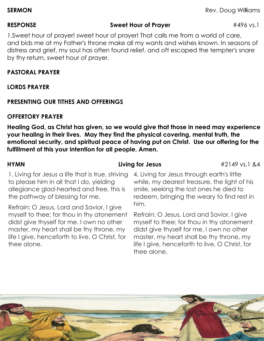### **SERMON Rev. Doug Williams Rev. Doug Williams**

# **RESPONSE** Sweet Hour of Prayer **#496 vs.1**

1.Sweet hour of prayer! sweet hour of prayer! That calls me from a world of care, and bids me at my Father's throne make all my wants and wishes known. In seasons of distress and grief, my soul has often found relief, and oft escaped the tempter's snare by thy return, sweet hour of prayer.

## **PASTORAL PRAYER**

**LORDS PRAYER**

### **PRESENTING OUR TITHES AND OFFERINGS**

# **OFFERTORY PRAYER**

**Healing God, as Christ has given, so we would give that those in need may experience your healing in their lives. May they find the physical covering, mental truth, the emotional security, and spiritual peace of having put on Christ. Use our offering for the fulfillment of this your intention for all people. Amen.**

# **HYMN Living for Jesus hyperally set that the set of the set of the H2149 vs.1 &4**

1. Living for Jesus a life that is true, striving to please him in all that I do, yielding allegiance glad-hearted and free, this is the pathway of blessing for me.

Refrain: O Jesus, Lord and Savior, I give myself to thee; for thou in thy atonement didst give thyself for me. I own no other master, my heart shall be thy throne, my life I give, henceforth to live, O Christ, for thee alone.

4. Living for Jesus through earth's little while, my dearest treasure, the light of his smile, seeking the lost ones he died to redeem, bringing the weary to find rest in him.

Refrain: O Jesus, Lord and Savior, I give myself to thee; for thou in thy atonement didst give thyself for me. I own no other master, my heart shall be thy throne, my life I give, henceforth to live, O Christ, for thee alone.

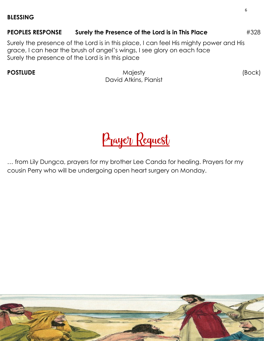### **BLESSING**

# **PEOPLES RESPONSE Surely the Presence of the Lord is in This Place** #328

Surely the presence of the Lord is in this place, I can feel His mighty power and His grace, I can hear the brush of angel's wings, I see glory on each face Surely the presence of the Lord is in this place

**POSTLUDE** (Bock) David Atkins, Pianist

Prayer Request

… from Lily Dungca, prayers for my brother Lee Canda for healing. Prayers for my cousin Perry who will be undergoing open heart surgery on Monday.